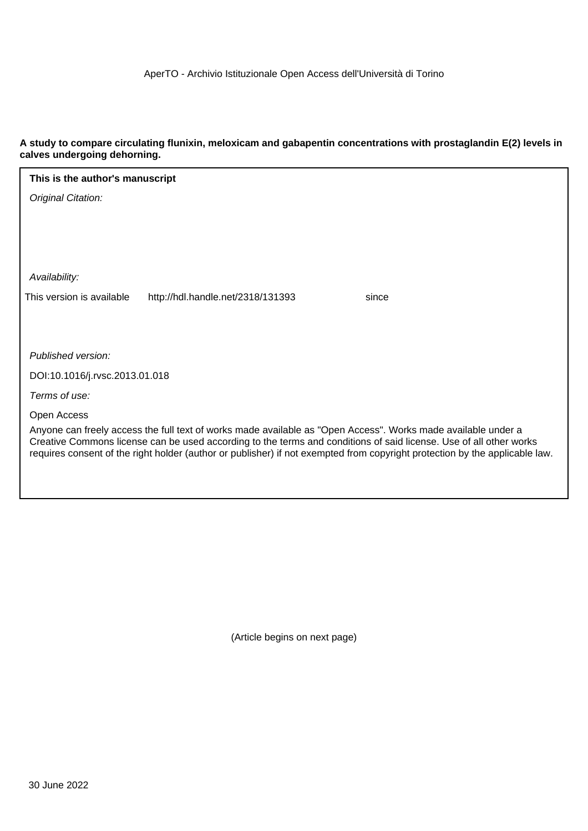## **A study to compare circulating flunixin, meloxicam and gabapentin concentrations with prostaglandin E(2) levels in calves undergoing dehorning.**

| This is the author's manuscript                                                                                                                                                                                                     |  |  |  |  |  |
|-------------------------------------------------------------------------------------------------------------------------------------------------------------------------------------------------------------------------------------|--|--|--|--|--|
| Original Citation:                                                                                                                                                                                                                  |  |  |  |  |  |
|                                                                                                                                                                                                                                     |  |  |  |  |  |
|                                                                                                                                                                                                                                     |  |  |  |  |  |
|                                                                                                                                                                                                                                     |  |  |  |  |  |
| Availability:                                                                                                                                                                                                                       |  |  |  |  |  |
| This version is available<br>http://hdl.handle.net/2318/131393<br>since                                                                                                                                                             |  |  |  |  |  |
|                                                                                                                                                                                                                                     |  |  |  |  |  |
|                                                                                                                                                                                                                                     |  |  |  |  |  |
| Published version:                                                                                                                                                                                                                  |  |  |  |  |  |
| DOI:10.1016/j.rvsc.2013.01.018                                                                                                                                                                                                      |  |  |  |  |  |
| Terms of use:                                                                                                                                                                                                                       |  |  |  |  |  |
| Open Access                                                                                                                                                                                                                         |  |  |  |  |  |
| Anyone can freely access the full text of works made available as "Open Access". Works made available under a<br>Creative Commons license can be used according to the terms and conditions of said license. Use of all other works |  |  |  |  |  |
| requires consent of the right holder (author or publisher) if not exempted from copyright protection by the applicable law.                                                                                                         |  |  |  |  |  |
|                                                                                                                                                                                                                                     |  |  |  |  |  |
|                                                                                                                                                                                                                                     |  |  |  |  |  |

(Article begins on next page)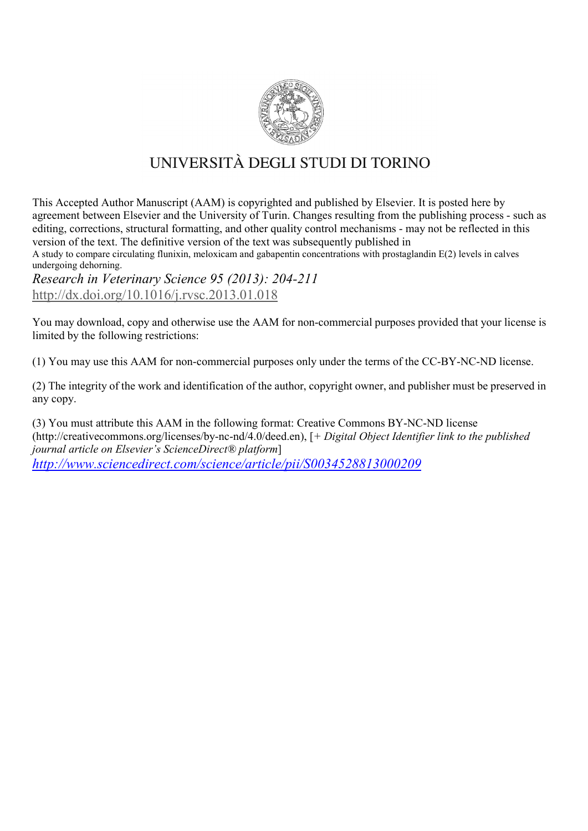

# UNIVERSITÀ DEGLI STUDI DI TORINO

This Accepted Author Manuscript (AAM) is copyrighted and published by Elsevier. It is posted here by agreement between Elsevier and the University of Turin. Changes resulting from the publishing process - such as editing, corrections, structural formatting, and other quality control mechanisms - may not be reflected in this version of the text. The definitive version of the text was subsequently published in

A study to compare circulating flunixin, meloxicam and gabapentin concentrations with prostaglandin E(2) levels in calves undergoing dehorning.

*Research in Veterinary Science 95 (2013): 204-211* <http://dx.doi.org/10.1016/j.rvsc.2013.01.018>

You may download, copy and otherwise use the AAM for non-commercial purposes provided that your license is limited by the following restrictions:

(1) You may use this AAM for non-commercial purposes only under the terms of the CC-BY-NC-ND license.

(2) The integrity of the work and identification of the author, copyright owner, and publisher must be preserved in any copy.

(3) You must attribute this AAM in the following format: Creative Commons BY-NC-ND license (http://creativecommons.org/licenses/by-nc-nd/4.0/deed.en), [*+ Digital Object Identifier link to the published journal article on Elsevier's ScienceDirect® platform*] *<http://www.sciencedirect.com/science/article/pii/S0034528813000209>*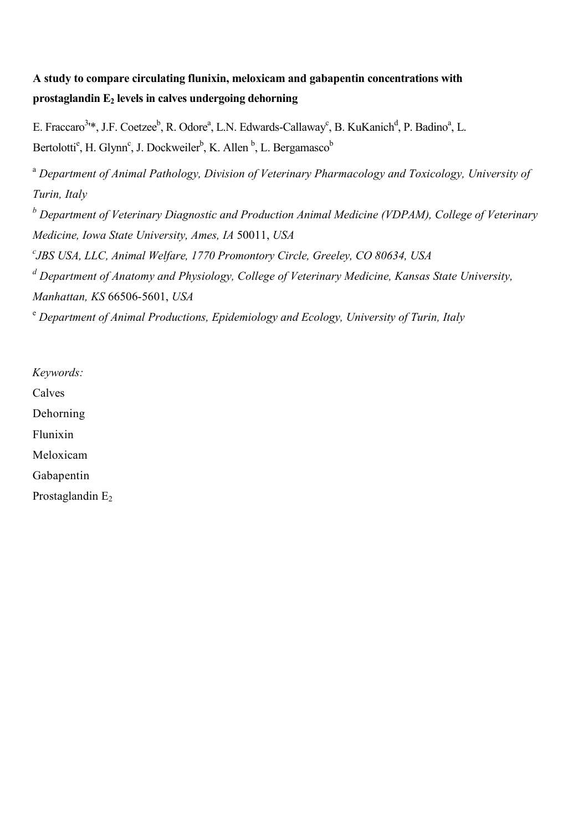## A study to compare circulating flunixin, meloxicam and gabapentin concentrations with prostaglandin  $E_2$  levels in calves undergoing dehorning

E. Fraccaro<sup>3</sup><sup>\*</sup>, J.F. Coetzee<sup>b</sup>, R. Odore<sup>a</sup>, L.N. Edwards-Callaway<sup>c</sup>, B. KuKanich<sup>d</sup>, P. Badino<sup>a</sup>, L. Bertolotti<sup>e</sup>, H. Glynn<sup>c</sup>, J. Dockweiler<sup>b</sup>, K. Allen<sup>b</sup>, L. Bergamasco<sup>b</sup>

<sup>a</sup> *Department of Animal Pathology, Division of Veterinary Pharmacology and Toxicology, University of Turin, Italy <sup>b</sup> Department of Veterinary Diagnostic and Production Animal Medicine (VDPAM), College of Veterinary Medicine, Iowa State University, Ames, IA* 50011, *USA c JBS USA, LLC, Animal Welfare, 1770 Promontory Circle, Greeley, CO 80634, USA <sup>d</sup> Department of Anatomy and Physiology, College of Veterinary Medicine, Kansas State University,*

*Manhattan, KS* 66506-5601, *USA*

<sup>e</sup> *Department of Animal Productions, Epidemiology and Ecology, University of Turin, Italy*

*Keywords:* Calves Dehorning Flunixin Meloxicam Gabapentin Prostaglandin E<sub>2</sub>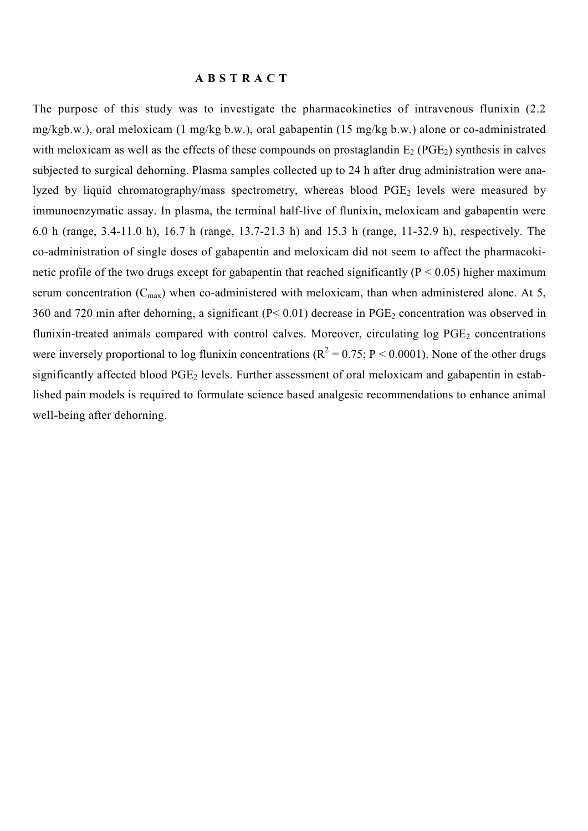#### A B S T R A C T

The purpose of this study was to investigate the pharmacokinetics of intravenous flunixin (2.2 mg/kgb.w.), oral meloxicam (1 mg/kg b.w.), oral gabapentin (15 mg/kg b.w.) alone or co-administrated with meloxicam as well as the effects of these compounds on prostaglandin  $E_2$  (PGE<sub>2</sub>) synthesis in calves subjected to surgical dehorning. Plasma samples collected up to 24 h after drug administration were analyzed by liquid chromatography/mass spectrometry, whereas blood  $PGE<sub>2</sub>$  levels were measured by immunoenzymatic assay. In plasma, the terminal half-live of flunixin, meloxicam and gabapentin were 6.0 h (range, 3.4-11.0 h), 16.7 h (range, 13.7-21.3 h) and 15.3 h (range, 11-32.9 h), respectively. The co-administration of single doses of gabapentin and meloxicam did not seem to affect the pharmacokinetic profile of the two drugs except for gabapentin that reached significantly ( $P < 0.05$ ) higher maximum serum concentration  $(C_{\text{max}})$  when co-administered with meloxicam, than when administered alone. At 5, 360 and 720 min after dehorning, a significant ( $P < 0.01$ ) decrease in PGE<sub>2</sub> concentration was observed in flunixin-treated animals compared with control calves. Moreover, circulating log PGE<sub>2</sub> concentrations were inversely proportional to log flunixin concentrations ( $R^2 = 0.75$ ; P < 0.0001). None of the other drugs significantly affected blood PGE<sub>2</sub> levels. Further assessment of oral meloxicam and gabapentin in established pain models is required to formulate science based analgesic recommendations to enhance animal well-being after dehorning.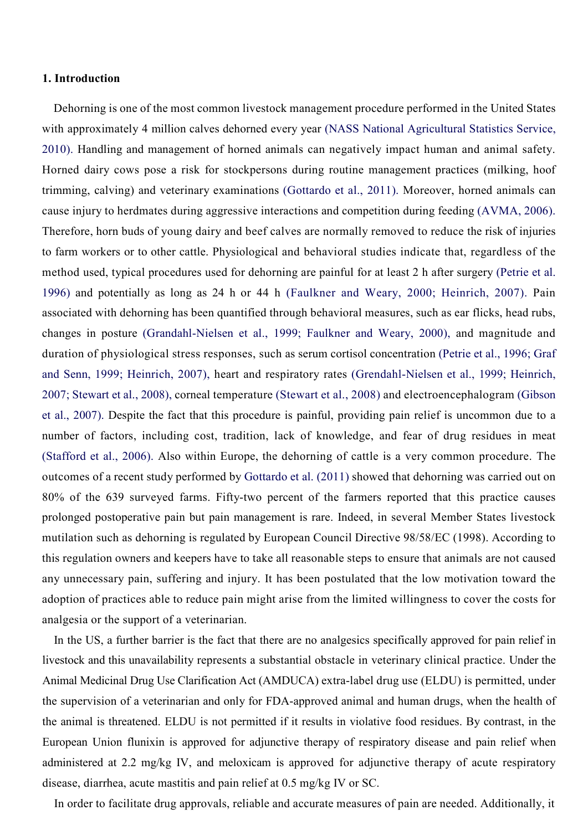#### 1. Introduction

Dehorning is one of the most common livestock management procedure performed in the United States with approximately 4 million calves dehorned every year (NASS National Agricultural Statistics Service, 2010). Handling and management of horned animals can negatively impact human and animal safety. Horned dairy cows pose a risk for stockpersons during routine management practices (milking, hoof trimming, calving) and veterinary examinations (Gottardo et al., 2011). Moreover, horned animals can cause injury to herdmates during aggressive interactions and competition during feeding (AVMA, 2006). Therefore, horn buds of young dairy and beef calves are normally removed to reduce the risk of injuries to farm workers or to other cattle. Physiological and behavioral studies indicate that, regardless of the method used, typical procedures used for dehorning are painful for at least 2 h after surgery (Petrie et al. 1996) and potentially as long as 24 h or 44 h (Faulkner and Weary, 2000; Heinrich, 2007). Pain associated with dehorning has been quantified through behavioral measures, such as ear flicks, head rubs, changes in posture (Grandahl-Nielsen et al., 1999; Faulkner and Weary, 2000), and magnitude and duration of physiological stress responses, such as serum cortisol concentration (Petrie et al., 1996; Graf and Senn, 1999; Heinrich, 2007), heart and respiratory rates (Grendahl-Nielsen et al., 1999; Heinrich, 2007; Stewart et al., 2008), corneal temperature (Stewart et al., 2008) and electroencephalogram (Gibson et al., 2007). Despite the fact that this procedure is painful, providing pain relief is uncommon due to a number of factors, including cost, tradition, lack of knowledge, and fear of drug residues in meat (Stafford et al., 2006). Also within Europe, the dehorning of cattle is a very common procedure. The outcomes of a recent study performed by Gottardo et al. (2011) showed that dehorning was carried out on 80% of the 639 surveyed farms. Fifty-two percent of the farmers reported that this practice causes prolonged postoperative pain but pain management is rare. Indeed, in several Member States livestock mutilation such as dehorning is regulated by European Council Directive 98/58/EC (1998). According to this regulation owners and keepers have to take all reasonable steps to ensure that animals are not caused any unnecessary pain, suffering and injury. It has been postulated that the low motivation toward the adoption of practices able to reduce pain might arise from the limited willingness to cover the costs for analgesia or the support of a veterinarian.

In the US, a further barrier is the fact that there are no analgesics specifically approved for pain relief in livestock and this unavailability represents a substantial obstacle in veterinary clinical practice. Under the Animal Medicinal Drug Use Clarification Act (AMDUCA) extra-label drug use (ELDU) is permitted, under the supervision of a veterinarian and only for FDA-approved animal and human drugs, when the health of the animal is threatened. ELDU is not permitted if it results in violative food residues. By contrast, in the European Union flunixin is approved for adjunctive therapy of respiratory disease and pain relief when administered at 2.2 mg/kg IV, and meloxicam is approved for adjunctive therapy of acute respiratory disease, diarrhea, acute mastitis and pain relief at 0.5 mg/kg IV or SC.

In order to facilitate drug approvals, reliable and accurate measures of pain are needed. Additionally, it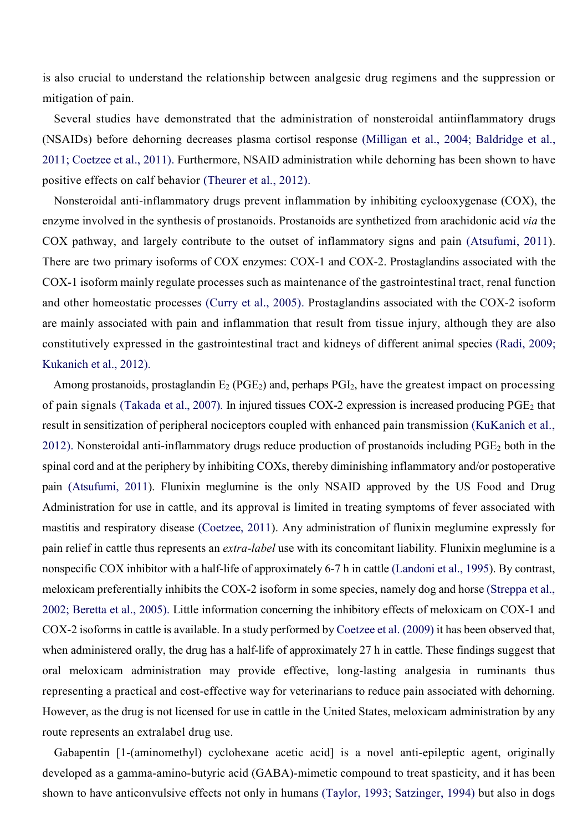is also crucial to understand the relationship between analgesic drug regimens and the suppression or mitigation of pain.

Several studies have demonstrated that the administration of nonsteroidal antiinflammatory drugs (NSAIDs) before dehorning decreases plasma cortisol response (Milligan et al., 2004; Baldridge et al., 2011; Coetzee et al., 2011). Furthermore, NSAID administration while dehorning has been shown to have positive effects on calf behavior (Theurer et al., 2012).

Nonsteroidal anti-inflammatory drugs prevent inflammation by inhibiting cyclooxygenase (COX), the enzyme involved in the synthesis of prostanoids. Prostanoids are synthetized from arachidonic acid *via* the COX pathway, and largely contribute to the outset of inflammatory signs and pain (Atsufumi, 2011). There are two primary isoforms of COX enzymes: COX-1 and COX-2. Prostaglandins associated with the COX-1 isoform mainly regulate processes such as maintenance of the gastrointestinal tract, renal function and other homeostatic processes (Curry et al., 2005). Prostaglandins associated with the COX-2 isoform are mainly associated with pain and inflammation that result from tissue injury, although they are also constitutively expressed in the gastrointestinal tract and kidneys of different animal species (Radi, 2009; Kukanich et al., 2012).

Among prostanoids, prostaglandin  $E_2$  (PGE<sub>2</sub>) and, perhaps PGI<sub>2</sub>, have the greatest impact on processing of pain signals (Takada et al., 2007). In injured tissues COX-2 expression is increased producing  $PGE_2$  that result in sensitization of peripheral nociceptors coupled with enhanced pain transmission (KuKanich et al., 2012). Nonsteroidal anti-inflammatory drugs reduce production of prostanoids including PGE2 both in the spinal cord and at the periphery by inhibiting COXs, thereby diminishing inflammatory and/or postoperative pain (Atsufumi, 2011). Flunixin meglumine is the only NSAID approved by the US Food and Drug Administration for use in cattle, and its approval is limited in treating symptoms of fever associated with mastitis and respiratory disease (Coetzee, 2011). Any administration of flunixin meglumine expressly for pain relief in cattle thus represents an *extra-label* use with its concomitant liability. Flunixin meglumine is a nonspecific COX inhibitor with a half-life of approximately 6-7 h in cattle (Landoni et al., 1995). By contrast, meloxicam preferentially inhibits the COX-2 isoform in some species, namely dog and horse (Streppa et al., 2002; Beretta et al., 2005). Little information concerning the inhibitory effects of meloxicam on COX-1 and COX-2 isoforms in cattle is available. In a study performed by Coetzee et al. (2009) it has been observed that, when administered orally, the drug has a half-life of approximately 27 h in cattle. These findings suggest that oral meloxicam administration may provide effective, long-lasting analgesia in ruminants thus representing a practical and cost-effective way for veterinarians to reduce pain associated with dehorning. However, as the drug is not licensed for use in cattle in the United States, meloxicam administration by any route represents an extralabel drug use.

Gabapentin [1-(aminomethyl) cyclohexane acetic acid] is a novel anti-epileptic agent, originally developed as a gamma-amino-butyric acid (GABA)-mimetic compound to treat spasticity, and it has been shown to have anticonvulsive effects not only in humans (Taylor, 1993; Satzinger, 1994) but also in dogs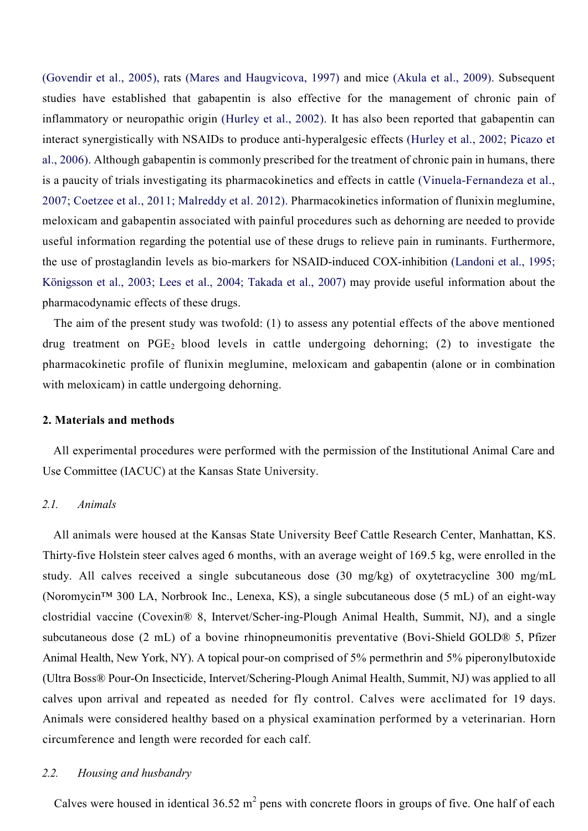(Govendir et al., 2005), rats (Mares and Haugvicova, 1997) and mice (Akula et al., 2009). Subsequent studies have established that gabapentin is also effective for the management of chronic pain of inflammatory or neuropathic origin (Hurley et al., 2002). It has also been reported that gabapentin can interact synergistically with NSAIDs to produce anti-hyperalgesic effects (Hurley et al., 2002; Picazo et al., 2006). Although gabapentin is commonly prescribed for the treatment of chronic pain in humans, there is a paucity of trials investigating its pharmacokinetics and effects in cattle (Vinuela-Fernandeza et al., 2007; Coetzee et al., 2011; Malreddy et al. 2012). Pharmacokinetics information of flunixin meglumine, meloxicam and gabapentin associated with painful procedures such as dehorning are needed to provide useful information regarding the potential use of these drugs to relieve pain in ruminants. Furthermore, the use of prostaglandin levels as bio-markers for NSAID-induced COX-inhibition (Landoni et al., 1995; Königsson et al., 2003; Lees et al., 2004; Takada et al., 2007) may provide useful information about the pharmacodynamic effects of these drugs.

The aim of the present study was twofold: (1) to assess any potential effects of the above mentioned drug treatment on  $PGE_2$  blood levels in cattle undergoing dehorning; (2) to investigate the pharmacokinetic profile of flunixin meglumine, meloxicam and gabapentin (alone or in combination with meloxicam) in cattle undergoing dehorning.

#### 2. Materials and methods

All experimental procedures were performed with the permission of the Institutional Animal Care and Use Committee (IACUC) at the Kansas State University.

## *2.1. Animals*

All animals were housed at the Kansas State University Beef Cattle Research Center, Manhattan, KS. Thirty-five Holstein steer calves aged 6 months, with an average weight of 169.5 kg, were enrolled in the study. All calves received a single subcutaneous dose (30 mg/kg) of oxytetracycline 300 mg/mL (Noromycin™ 300 LA, Norbrook Inc., Lenexa, KS), a single subcutaneous dose (5 mL) of an eight-way clostridial vaccine (Covexin® 8, Intervet/Scher-ing-Plough Animal Health, Summit, NJ), and a single subcutaneous dose (2 mL) of a bovine rhinopneumonitis preventative (Bovi-Shield GOLD® 5, Pfizer Animal Health, New York, NY). A topical pour-on comprised of 5% permethrin and 5% piperonylbutoxide (Ultra Boss® Pour-On Insecticide, Intervet/Schering-Plough Animal Health, Summit, NJ) was applied to all calves upon arrival and repeated as needed for fly control. Calves were acclimated for 19 days. Animals were considered healthy based on a physical examination performed by a veterinarian. Horn circumference and length were recorded for each calf.

## *2.2. Housing and husbandry*

Calves were housed in identical  $36.52 \text{ m}^2$  pens with concrete floors in groups of five. One half of each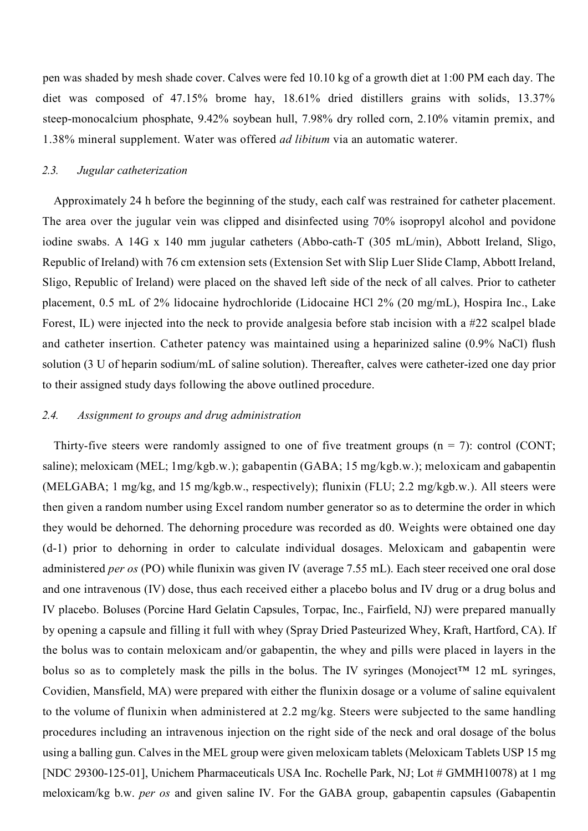pen was shaded by mesh shade cover. Calves were fed 10.10 kg of a growth diet at 1:00 PM each day. The diet was composed of 47.15% brome hay, 18.61% dried distillers grains with solids, 13.37% steep-monocalcium phosphate, 9.42% soybean hull, 7.98% dry rolled corn, 2.10% vitamin premix, and 1.38% mineral supplement. Water was offered *ad libitum* via an automatic waterer.

## *2.3. Jugular catheterization*

Approximately 24 h before the beginning of the study, each calf was restrained for catheter placement. The area over the jugular vein was clipped and disinfected using 70% isopropyl alcohol and povidone iodine swabs. A 14G x 140 mm jugular catheters (Abbo-cath-T (305 mL/min), Abbott Ireland, Sligo, Republic of Ireland) with 76 cm extension sets (Extension Set with Slip Luer Slide Clamp, Abbott Ireland, Sligo, Republic of Ireland) were placed on the shaved left side of the neck of all calves. Prior to catheter placement, 0.5 mL of 2% lidocaine hydrochloride (Lidocaine HCl 2% (20 mg/mL), Hospira Inc., Lake Forest, IL) were injected into the neck to provide analgesia before stab incision with a #22 scalpel blade and catheter insertion. Catheter patency was maintained using a heparinized saline (0.9% NaCl) flush solution (3 U of heparin sodium/mL of saline solution). Thereafter, calves were catheter-ized one day prior to their assigned study days following the above outlined procedure.

#### *2.4. Assignment to groups and drug administration*

Thirty-five steers were randomly assigned to one of five treatment groups  $(n = 7)$ : control (CONT; saline); meloxicam (MEL; 1mg/kgb.w.); gabapentin (GABA; 15 mg/kgb.w.); meloxicam and gabapentin (MELGABA; 1 mg/kg, and 15 mg/kgb.w., respectively); flunixin (FLU; 2.2 mg/kgb.w.). All steers were then given a random number using Excel random number generator so as to determine the order in which they would be dehorned. The dehorning procedure was recorded as d0. Weights were obtained one day (d-1) prior to dehorning in order to calculate individual dosages. Meloxicam and gabapentin were administered *per os* (PO) while flunixin was given IV (average 7.55 mL). Each steer received one oral dose and one intravenous (IV) dose, thus each received either a placebo bolus and IV drug or a drug bolus and IV placebo. Boluses (Porcine Hard Gelatin Capsules, Torpac, Inc., Fairfield, NJ) were prepared manually by opening a capsule and filling it full with whey (Spray Dried Pasteurized Whey, Kraft, Hartford, CA). If the bolus was to contain meloxicam and/or gabapentin, the whey and pills were placed in layers in the bolus so as to completely mask the pills in the bolus. The IV syringes (Monoject™ 12 mL syringes, Covidien, Mansfield, MA) were prepared with either the flunixin dosage or a volume of saline equivalent to the volume of flunixin when administered at 2.2 mg/kg. Steers were subjected to the same handling procedures including an intravenous injection on the right side of the neck and oral dosage of the bolus using a balling gun. Calves in the MEL group were given meloxicam tablets (Meloxicam Tablets USP 15 mg [NDC 29300-125-01], Unichem Pharmaceuticals USA Inc. Rochelle Park, NJ; Lot # GMMH10078) at 1 mg meloxicam/kg b.w. *per os* and given saline IV. For the GABA group, gabapentin capsules (Gabapentin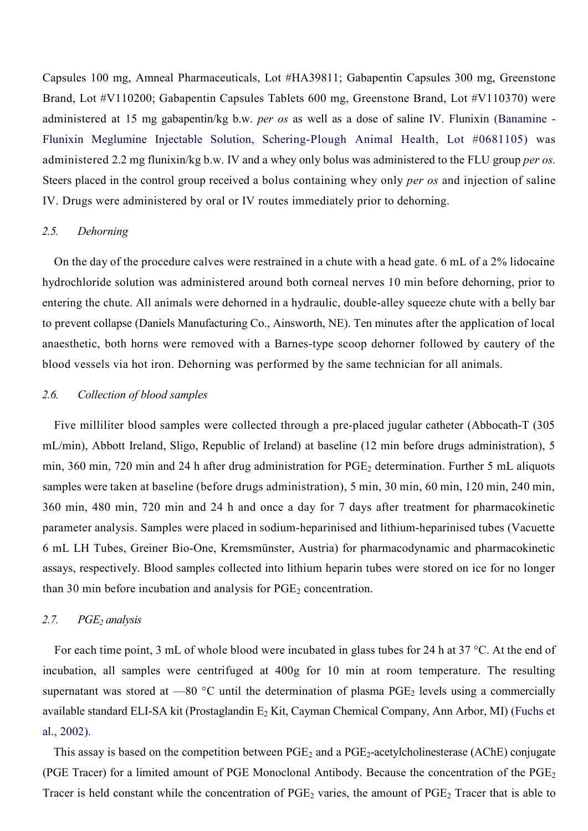Capsules 100 mg, Amneal Pharmaceuticals, Lot #HA39811; Gabapentin Capsules 300 mg, Greenstone Brand, Lot #V110200; Gabapentin Capsules Tablets 600 mg, Greenstone Brand, Lot #V110370) were administered at 15 mg gabapentin/kg b.w. *per os* as well as a dose of saline IV. Flunixin (Banamine - Flunixin Meglumine Injectable Solution, Schering-Plough Animal Health, Lot #0681105) was administered 2.2 mg flunixin/kg b.w. IV and a whey only bolus was administered to the FLU group *per os.* Steers placed in the control group received a bolus containing whey only *per os* and injection of saline IV. Drugs were administered by oral or IV routes immediately prior to dehorning.

#### *2.5. Dehorning*

On the day of the procedure calves were restrained in a chute with a head gate. 6 mL of a 2% lidocaine hydrochloride solution was administered around both corneal nerves 10 min before dehorning, prior to entering the chute. All animals were dehorned in a hydraulic, double-alley squeeze chute with a belly bar to prevent collapse (Daniels Manufacturing Co., Ainsworth, NE). Ten minutes after the application of local anaesthetic, both horns were removed with a Barnes-type scoop dehorner followed by cautery of the blood vessels via hot iron. Dehorning was performed by the same technician for all animals.

## *2.6. Collection of blood samples*

Five milliliter blood samples were collected through a pre-placed jugular catheter (Abbocath-T (305 mL/min), Abbott Ireland, Sligo, Republic of Ireland) at baseline (12 min before drugs administration), 5 min, 360 min, 720 min and 24 h after drug administration for PGE<sub>2</sub> determination. Further 5 mL aliquots samples were taken at baseline (before drugs administration), 5 min, 30 min, 60 min, 120 min, 240 min, 360 min, 480 min, 720 min and 24 h and once a day for 7 days after treatment for pharmacokinetic parameter analysis. Samples were placed in sodium-heparinised and lithium-heparinised tubes (Vacuette 6 mL LH Tubes, Greiner Bio-One, Kremsmünster, Austria) for pharmacodynamic and pharmacokinetic assays, respectively. Blood samples collected into lithium heparin tubes were stored on ice for no longer than 30 min before incubation and analysis for  $PGE<sub>2</sub>$  concentration.

#### *2.7. PGE2 analysis*

For each time point, 3 mL of whole blood were incubated in glass tubes for 24 h at 37 °C. At the end of incubation, all samples were centrifuged at 400g for 10 min at room temperature. The resulting supernatant was stored at  $-80$  °C until the determination of plasma PGE<sub>2</sub> levels using a commercially available standard ELI-SA kit (Prostaglandin E<sub>2</sub> Kit, Cayman Chemical Company, Ann Arbor, MI) (Fuchs et al., 2002).

This assay is based on the competition between  $PGE_2$  and a  $PGE_2$ -acetylcholinesterase (AChE) conjugate (PGE Tracer) for a limited amount of PGE Monoclonal Antibody. Because the concentration of the PGE2 Tracer is held constant while the concentration of  $PGE_2$  varies, the amount of  $PGE_2$  Tracer that is able to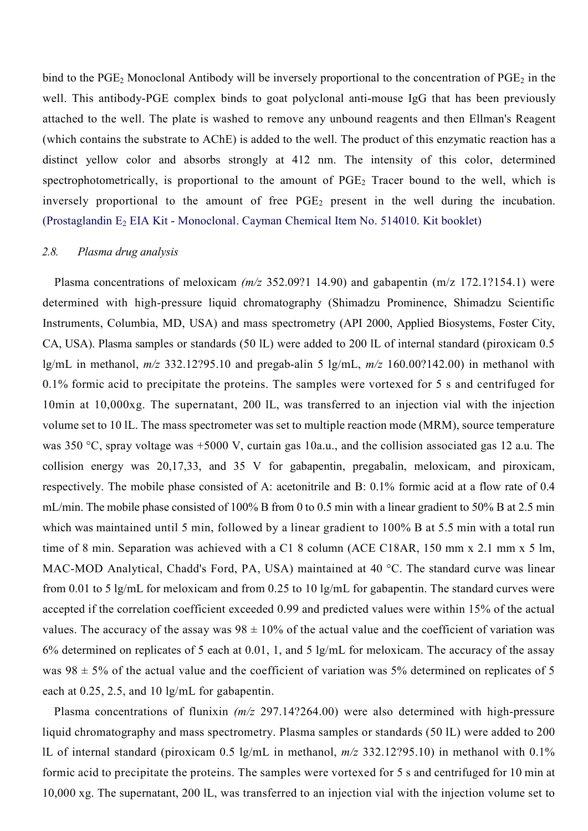bind to the  $PGE_2$  Monoclonal Antibody will be inversely proportional to the concentration of  $PGE_2$  in the well. This antibody-PGE complex binds to goat polyclonal anti-mouse IgG that has been previously attached to the well. The plate is washed to remove any unbound reagents and then Ellman's Reagent (which contains the substrate to AChE) is added to the well. The product of this enzymatic reaction has a distinct yellow color and absorbs strongly at 412 nm. The intensity of this color, determined spectrophotometrically, is proportional to the amount of  $PGE<sub>2</sub>$  Tracer bound to the well, which is inversely proportional to the amount of free  $PGE<sub>2</sub>$  present in the well during the incubation. (Prostaglandin  $E_2$  EIA Kit - Monoclonal. Cayman Chemical Item No. 514010. Kit booklet)

#### *2.8. Plasma drug analysis*

Plasma concentrations of meloxicam *(m/z* 352.09?1 14.90) and gabapentin (m/z 172.1?154.1) were determined with high-pressure liquid chromatography (Shimadzu Prominence, Shimadzu Scientific Instruments, Columbia, MD, USA) and mass spectrometry (API 2000, Applied Biosystems, Foster City, CA, USA). Plasma samples or standards (50 lL) were added to 200 lL of internal standard (piroxicam 0.5 lg/mL in methanol, *m/z* 332.12?95.10 and pregab-alin 5 lg/mL, *m/z* 160.00?142.00) in methanol with 0.1% formic acid to precipitate the proteins. The samples were vortexed for 5 s and centrifuged for 10min at 10,000xg. The supernatant, 200 lL, was transferred to an injection vial with the injection volume set to 10 lL. The mass spectrometer was set to multiple reaction mode (MRM), source temperature was 350 °C, spray voltage was +5000 V, curtain gas 10a.u., and the collision associated gas 12 a.u. The collision energy was 20,17,33, and 35 V for gabapentin, pregabalin, meloxicam, and piroxicam, respectively. The mobile phase consisted of A: acetonitrile and B: 0.1% formic acid at a flow rate of 0.4 mL/min. The mobile phase consisted of 100% B from 0 to 0.5 min with a linear gradient to 50% B at 2.5 min which was maintained until 5 min, followed by a linear gradient to 100% B at 5.5 min with a total run time of 8 min. Separation was achieved with a C1 8 column (ACE C18AR, 150 mm x 2.1 mm x 5 lm, MAC-MOD Analytical, Chadd's Ford, PA, USA) maintained at 40 °C. The standard curve was linear from 0.01 to 5 lg/mL for meloxicam and from 0.25 to 10 lg/mL for gabapentin. The standard curves were accepted if the correlation coefficient exceeded 0.99 and predicted values were within 15% of the actual values. The accuracy of the assay was  $98 \pm 10\%$  of the actual value and the coefficient of variation was 6% determined on replicates of 5 each at 0.01, 1, and 5 lg/mL for meloxicam. The accuracy of the assay was  $98 \pm 5\%$  of the actual value and the coefficient of variation was 5% determined on replicates of 5 each at 0.25, 2.5, and 10 lg/mL for gabapentin.

Plasma concentrations of flunixin *(m/z* 297.14?264.00) were also determined with high-pressure liquid chromatography and mass spectrometry. Plasma samples or standards (50 lL) were added to 200 lL of internal standard (piroxicam 0.5 lg/mL in methanol, *m/z* 332.12?95.10) in methanol with 0.1% formic acid to precipitate the proteins. The samples were vortexed for 5 s and centrifuged for 10 min at 10,000 xg. The supernatant, 200 lL, was transferred to an injection vial with the injection volume set to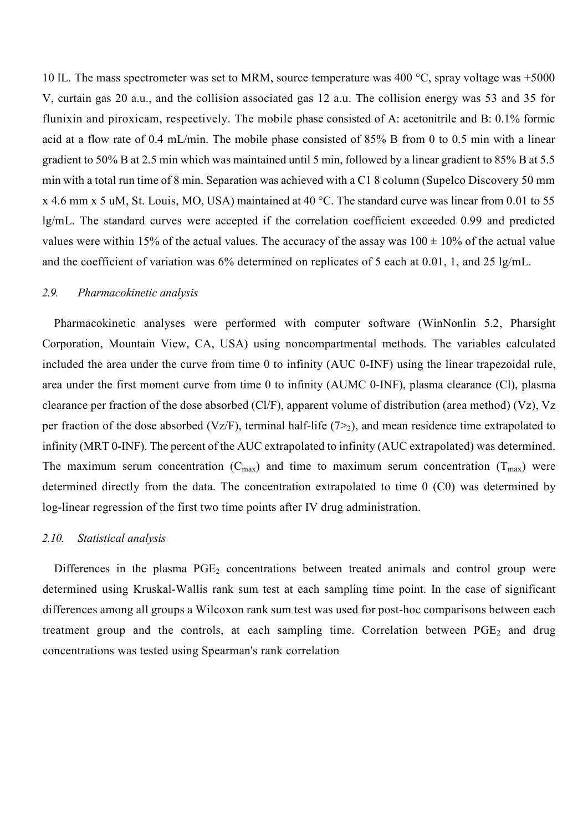10 lL. The mass spectrometer was set to MRM, source temperature was 400 °C, spray voltage was +5000 V, curtain gas 20 a.u., and the collision associated gas 12 a.u. The collision energy was 53 and 35 for flunixin and piroxicam, respectively. The mobile phase consisted of A: acetonitrile and B: 0.1% formic acid at a flow rate of 0.4 mL/min. The mobile phase consisted of 85% B from 0 to 0.5 min with a linear gradient to 50% B at 2.5 min which was maintained until 5 min, followed by a linear gradient to 85% B at 5.5 min with a total run time of 8 min. Separation was achieved with a C1 8 column (Supelco Discovery 50 mm x 4.6 mm x 5 uM, St. Louis, MO, USA) maintained at 40 °C. The standard curve was linear from 0.01 to 55 lg/mL. The standard curves were accepted if the correlation coefficient exceeded 0.99 and predicted values were within 15% of the actual values. The accuracy of the assay was  $100 \pm 10\%$  of the actual value and the coefficient of variation was 6% determined on replicates of 5 each at 0.01, 1, and 25 lg/mL.

## *2.9. Pharmacokinetic analysis*

Pharmacokinetic analyses were performed with computer software (WinNonlin 5.2, Pharsight Corporation, Mountain View, CA, USA) using noncompartmental methods. The variables calculated included the area under the curve from time 0 to infinity (AUC 0-INF) using the linear trapezoidal rule, area under the first moment curve from time 0 to infinity (AUMC 0-INF), plasma clearance (Cl), plasma clearance per fraction of the dose absorbed (Cl/F), apparent volume of distribution (area method) (Vz), Vz per fraction of the dose absorbed (Vz/F), terminal half-life  $(7>2)$ , and mean residence time extrapolated to infinity (MRT 0-INF). The percent of the AUC extrapolated to infinity (AUC extrapolated) was determined. The maximum serum concentration  $(C_{max})$  and time to maximum serum concentration  $(T_{max})$  were determined directly from the data. The concentration extrapolated to time 0 (C0) was determined by log-linear regression of the first two time points after IV drug administration.

## *2.10. Statistical analysis*

Differences in the plasma  $PGE_2$  concentrations between treated animals and control group were determined using Kruskal-Wallis rank sum test at each sampling time point. In the case of significant differences among all groups a Wilcoxon rank sum test was used for post-hoc comparisons between each treatment group and the controls, at each sampling time. Correlation between  $PGE_2$  and drug concentrations was tested using Spearman's rank correlation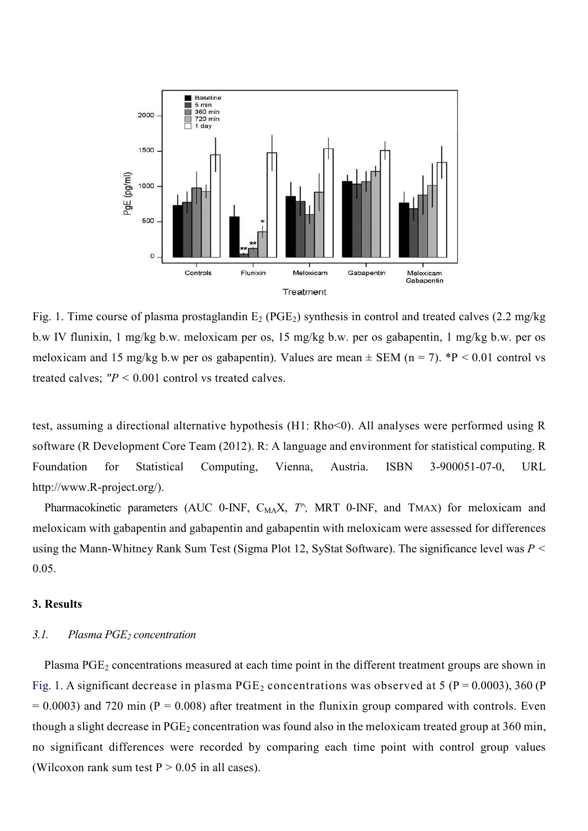

Fig. 1. Time course of plasma prostaglandin  $E_2$  (PGE<sub>2</sub>) synthesis in control and treated calves (2.2 mg/kg) b.w IV flunixin, 1 mg/kg b.w. meloxicam per os, 15 mg/kg b.w. per os gabapentin, 1 mg/kg b.w. per os meloxicam and 15 mg/kg b.w per os gabapentin). Values are mean  $\pm$  SEM (n = 7). \*P < 0.01 control vs treated calves;  $"P \le 0.001$  control vs treated calves.

test, assuming a directional alternative hypothesis (H1: Rho<0). All analyses were performed using R software (R Development Core Team (2012). R: A language and environment for statistical computing. R Foundation for Statistical Computing, Vienna, Austria. ISBN 3-900051-07-0, URL http://www.R-project.org/).

Pharmacokinetic parameters (AUC 0-INF, C<sub>MA</sub>X, T<sup>^</sup>, MRT 0-INF, and TMAX) for meloxicam and meloxicam with gabapentin and gabapentin and gabapentin with meloxicam were assessed for differences using the Mann-Whitney Rank Sum Test (Sigma Plot 12, SyStat Software). The significance level was *P <*  0.05.

#### 3. Results

#### 3.1. Plasma PGE<sub>2</sub> concentration

Plasma PGE<sub>2</sub> concentrations measured at each time point in the different treatment groups are shown in Fig. 1. A significant decrease in plasma  $PGE_2$  concentrations was observed at 5 ( $P = 0.0003$ ), 360 (P  $= 0.0003$ ) and 720 min (P = 0.008) after treatment in the flunixin group compared with controls. Even though a slight decrease in  $PGE_2$  concentration was found also in the meloxicam treated group at 360 min, no significant differences were recorded by comparing each time point with control group values (Wilcoxon rank sum test  $P > 0.05$  in all cases).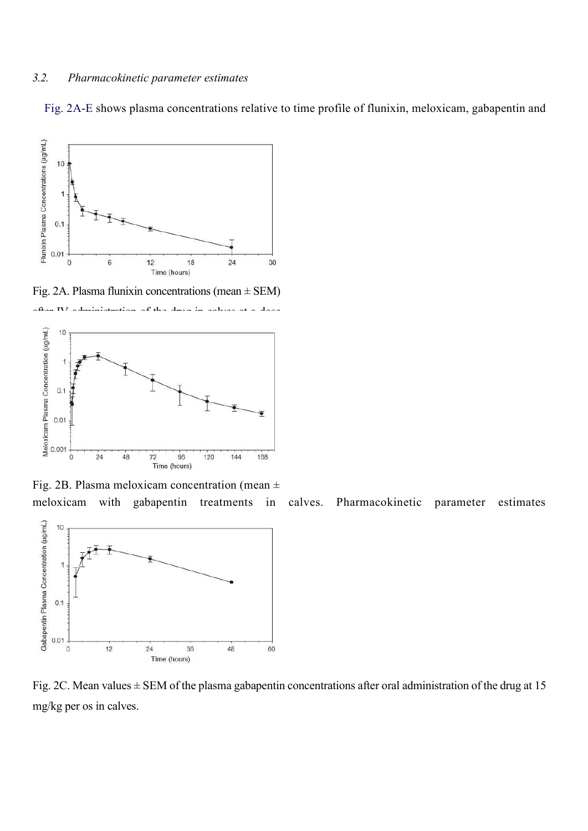## *3.2. Pharmacokinetic parameter estimates*

Fig. 2A-E shows plasma concentrations relative to time profile of flunixin, meloxicam, gabapentin and



Fig. 2A. Plasma flunixin concentrations (mean ± SEM)





Fig. 2B. Plasma meloxicam concentration (mean  $\pm$ 

meloxicam with gabapentin treatments in calves. Pharmacokinetic parameter estimates



Fig. 2C. Mean values  $\pm$  SEM of the plasma gabapentin concentrations after oral administration of the drug at 15 mg/kg per os in calves.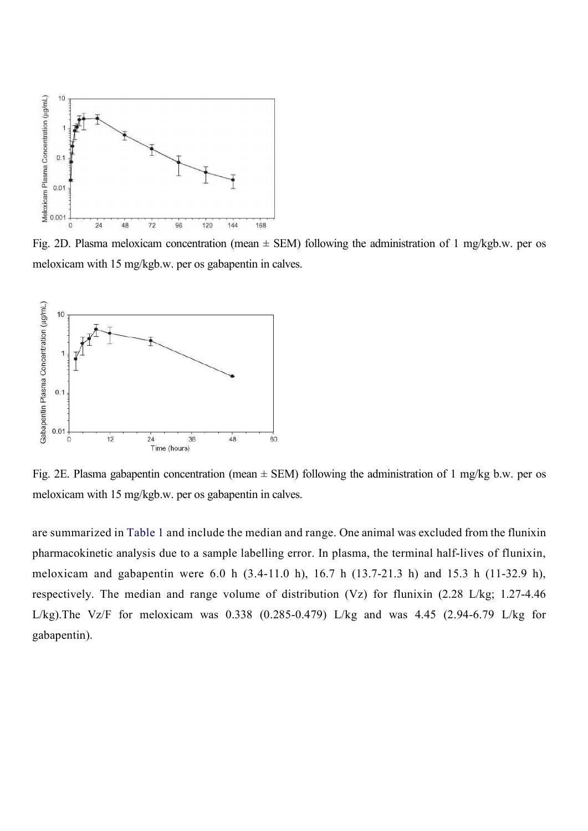

Fig. 2D. Plasma meloxicam concentration (mean  $\pm$  SEM) following the administration of 1 mg/kgb.w. per os meloxicam with 15 mg/kgb.w. per os gabapentin in calves.



Fig. 2E. Plasma gabapentin concentration (mean  $\pm$  SEM) following the administration of 1 mg/kg b.w. per os meloxicam with 15 mg/kgb.w. per os gabapentin in calves.

are summarized in Table 1 and include the median and range. One animal was excluded from the flunixin pharmacokinetic analysis due to a sample labelling error. In plasma, the terminal half-lives of flunixin, meloxicam and gabapentin were 6.0 h (3.4-11.0 h), 16.7 h (13.7-21.3 h) and 15.3 h (11-32.9 h), respectively. The median and range volume of distribution (Vz) for flunixin (2.28 L/kg; 1.27-4.46 L/kg). The Vz/F for meloxicam was  $0.338$   $(0.285-0.479)$  L/kg and was 4.45  $(2.94-6.79)$  L/kg for gabapentin).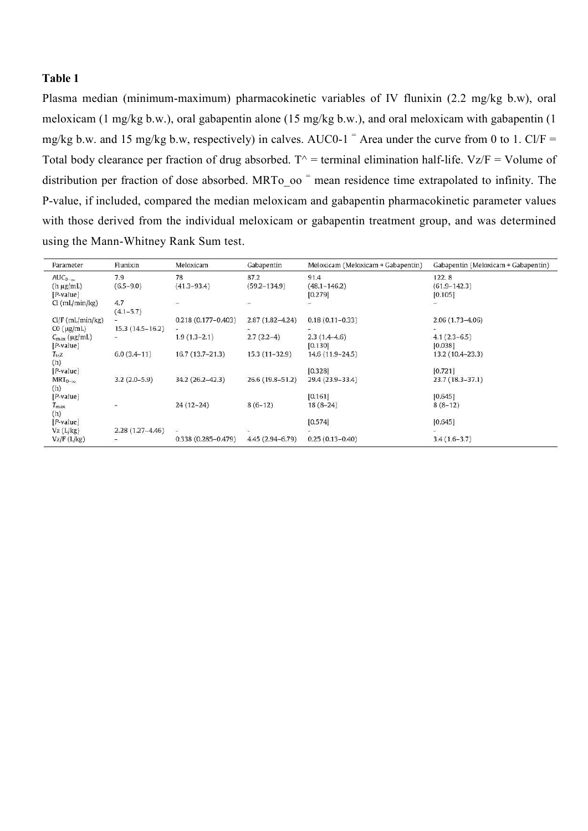## Table 1

Plasma median (minimum-maximum) pharmacokinetic variables of IV flunixin (2.2 mg/kg b.w), oral meloxicam (1 mg/kg b.w.), oral gabapentin alone (15 mg/kg b.w.), and oral meloxicam with gabapentin (1 mg/kg b.w. and 15 mg/kg b.w, respectively) in calves. AUC0-1<sup> $=$ </sup> Area under the curve from 0 to 1. Cl/F = Total body clearance per fraction of drug absorbed.  $T^{\wedge}$  = terminal elimination half-life. Vz/F = Volume of distribution per fraction of dose absorbed. MRTo  $oo$  = mean residence time extrapolated to infinity. The P-value, if included, compared the median meloxicam and gabapentin pharmacokinetic parameter values with those derived from the individual meloxicam or gabapentin treatment group, and was determined using the Mann-Whitney Rank Sum test.

| Parameter                | Flunixin                 | Meloxicam              | Gabapentin          | Meloxicam (Meloxicam + Gabapentin) | Gabapentin (Meloxicam + Gabapentin) |
|--------------------------|--------------------------|------------------------|---------------------|------------------------------------|-------------------------------------|
| $AUC_{0-\infty}$         | 7.9                      | 78                     | 87.2                | 91.4                               | 122.8                               |
| $(h \mu g/mL)$           | $(6.5 - 9.0)$            | $(41.3 - 93.4)$        | $(59.2 - 134.9)$    | $(48.1 - 146.2)$                   | $(61.9 - 142.3)$                    |
| $[$ <i>P</i> -value $]$  |                          |                        |                     | [0.279]                            | [0.105]                             |
| Cl (mL/min/kg)           | 4.7                      |                        |                     |                                    |                                     |
|                          | $(4.1 - 5.7)$            |                        |                     |                                    |                                     |
| $Cl/F$ (mL/min/kg)       |                          | $0.218(0.177 - 0.403)$ | $2.87(1.82 - 4.24)$ | $0.18(0.11 - 0.33)$                | $2.06(1.73-4.06)$                   |
| $CO$ ( $\mu$ g/mL)       | $15.3(14.5-16.2)$        | $\sim$                 |                     |                                    |                                     |
| $C_{\text{max}}$ (µg/mL) | $\blacksquare$           | $1.9(1.3-2.1)$         | $2.7(2.2-4)$        | $2.3(1.4-4.6)$                     | $4.1(2.3-6.5)$                      |
| $[P-value]$              |                          |                        |                     | [0.130]                            | [0.038]                             |
| $T_{15Z}$                | $6.0(3.4-11)$            | $16.7(13.7-21.3)$      | $15.3(11-32.9)$     | 14.6 (11.9-24.5)                   | 13.2 (10.4-23.3)                    |
| (h)                      |                          |                        |                     |                                    |                                     |
| $[$ <i>P</i> -value $]$  |                          |                        |                     | [0.328]                            | [0.721]                             |
| $MRT_{0-\infty}$         | $3.2(2.0-5.9)$           | 34.2 (26.2-42.3)       | 26.6 (19.8-51.2)    | 29.4 (23.9-33.4)                   | $23.7(18.3 - 37.1)$                 |
| (h)                      |                          |                        |                     |                                    |                                     |
| [P-value]                |                          |                        |                     | [0.161]                            | [0.645]                             |
| $T_{\rm max}$            | $\overline{\phantom{a}}$ | $24(12-24)$            | $8(6-12)$           | $18(8-24)$                         | $8(8-12)$                           |
| (h)                      |                          |                        |                     |                                    |                                     |
| $[$ <i>P</i> -value $]$  |                          |                        |                     | [0.574]                            | [0.645]                             |
| Vz (L/kg)                | $2.28(1.27 - 4.46)$      | a.                     |                     |                                    |                                     |
| Vz/F (L/kg)              | æ.                       | $0.338(0.285 - 0.479)$ | 4.45 (2.94-6.79)    | $0.25(0.13 - 0.40)$                | $3.4(1.6-3.7)$                      |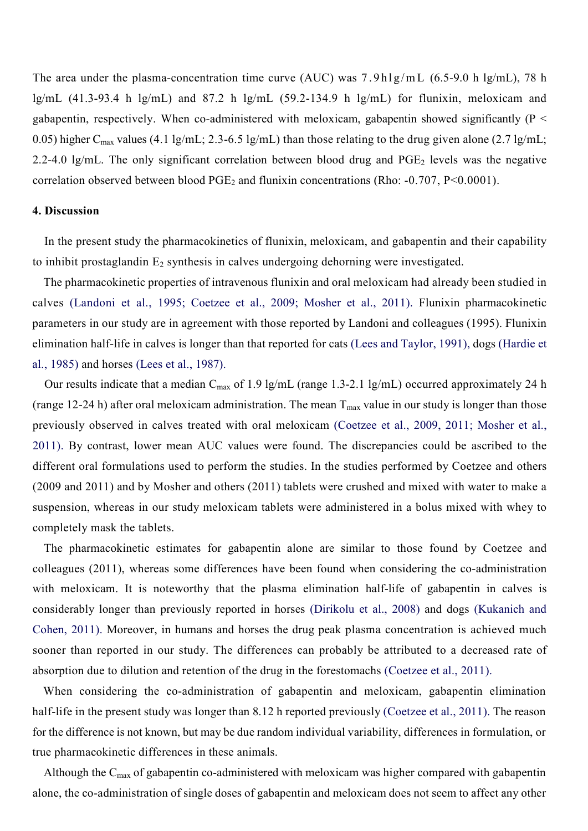The area under the plasma-concentration time curve (AUC) was  $7.9h\lg/mL$  (6.5-9.0 h lg/mL), 78 h lg/mL  $(41.3-93.4 \text{ h } \text{lg/mL})$  and  $87.2 \text{ h } \text{lg/mL}$   $(59.2-134.9 \text{ h } \text{lg/mL})$  for flunixin, meloxicam and gabapentin, respectively. When co-administered with meloxicam, gabapentin showed significantly ( $P \leq$ 0.05) higher C<sub>max</sub> values (4.1 lg/mL; 2.3-6.5 lg/mL) than those relating to the drug given alone (2.7 lg/mL; 2.2-4.0 lg/mL. The only significant correlation between blood drug and  $PGE_2$  levels was the negative correlation observed between blood  $PGE_2$  and flunixin concentrations (Rho: -0.707, P<0.0001).

## 4. Discussion

In the present study the pharmacokinetics of flunixin, meloxicam, and gabapentin and their capability to inhibit prostaglandin  $E_2$  synthesis in calves undergoing dehorning were investigated.

The pharmacokinetic properties of intravenous flunixin and oral meloxicam had already been studied in calves (Landoni et al., 1995; Coetzee et al., 2009; Mosher et al., 2011). Flunixin pharmacokinetic parameters in our study are in agreement with those reported by Landoni and colleagues (1995). Flunixin elimination half-life in calves is longer than that reported for cats (Lees and Taylor, 1991), dogs (Hardie et al., 1985) and horses (Lees et al., 1987).

Our results indicate that a median  $C_{\text{max}}$  of 1.9 lg/mL (range 1.3-2.1 lg/mL) occurred approximately 24 h (range 12-24 h) after oral meloxicam administration. The mean  $T_{\text{max}}$  value in our study is longer than those previously observed in calves treated with oral meloxicam (Coetzee et al., 2009, 2011; Mosher et al., 2011). By contrast, lower mean AUC values were found. The discrepancies could be ascribed to the different oral formulations used to perform the studies. In the studies performed by Coetzee and others (2009 and 2011) and by Mosher and others (2011) tablets were crushed and mixed with water to make a suspension, whereas in our study meloxicam tablets were administered in a bolus mixed with whey to completely mask the tablets.

The pharmacokinetic estimates for gabapentin alone are similar to those found by Coetzee and colleagues (2011), whereas some differences have been found when considering the co-administration with meloxicam. It is noteworthy that the plasma elimination half-life of gabapentin in calves is considerably longer than previously reported in horses (Dirikolu et al., 2008) and dogs (Kukanich and Cohen, 2011). Moreover, in humans and horses the drug peak plasma concentration is achieved much sooner than reported in our study. The differences can probably be attributed to a decreased rate of absorption due to dilution and retention of the drug in the forestomachs (Coetzee et al., 2011).

When considering the co-administration of gabapentin and meloxicam, gabapentin elimination half-life in the present study was longer than 8.12 h reported previously (Coetzee et al., 2011). The reason for the difference is not known, but may be due random individual variability, differences in formulation, or true pharmacokinetic differences in these animals.

Although the  $C_{\text{max}}$  of gabapentin co-administered with meloxicam was higher compared with gabapentin alone, the co-administration of single doses of gabapentin and meloxicam does not seem to affect any other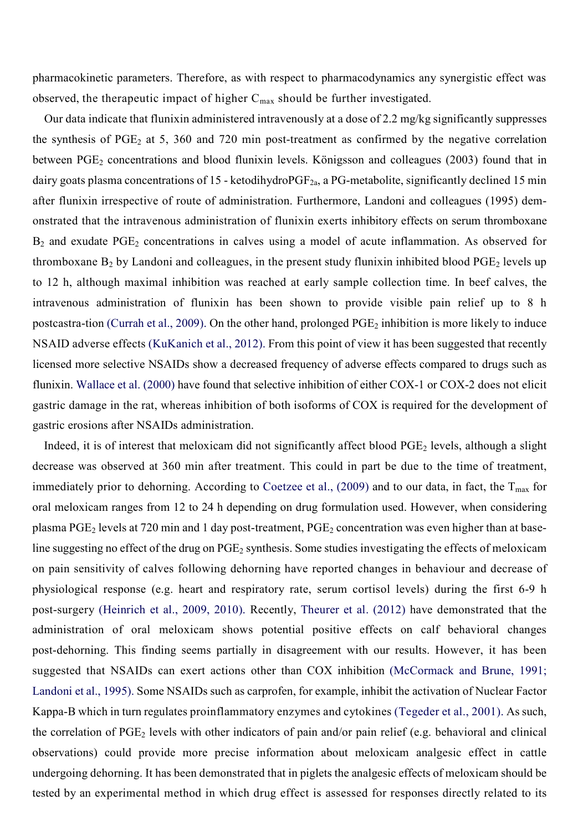pharmacokinetic parameters. Therefore, as with respect to pharmacodynamics any synergistic effect was observed, the therapeutic impact of higher  $C_{\text{max}}$  should be further investigated.

Our data indicate that flunixin administered intravenously at a dose of 2.2 mg/kg significantly suppresses the synthesis of  $PGE_2$  at 5, 360 and 720 min post-treatment as confirmed by the negative correlation between  $PGE_2$  concentrations and blood flunixin levels. Königsson and colleagues (2003) found that in dairy goats plasma concentrations of 15 - ketodihydro $PGF_{2a}$ , a PG-metabolite, significantly declined 15 min after flunixin irrespective of route of administration. Furthermore, Landoni and colleagues (1995) demonstrated that the intravenous administration of flunixin exerts inhibitory effects on serum thromboxane  $B_2$  and exudate PGE<sub>2</sub> concentrations in calves using a model of acute inflammation. As observed for thromboxane  $B_2$  by Landoni and colleagues, in the present study flunixin inhibited blood  $PGE_2$  levels up to 12 h, although maximal inhibition was reached at early sample collection time. In beef calves, the intravenous administration of flunixin has been shown to provide visible pain relief up to 8 h postcastra-tion (Currah et al., 2009). On the other hand, prolonged PGE<sub>2</sub> inhibition is more likely to induce NSAID adverse effects (KuKanich et al., 2012). From this point of view it has been suggested that recently licensed more selective NSAIDs show a decreased frequency of adverse effects compared to drugs such as flunixin. Wallace et al. (2000) have found that selective inhibition of either COX-1 or COX-2 does not elicit gastric damage in the rat, whereas inhibition of both isoforms of COX is required for the development of gastric erosions after NSAIDs administration.

Indeed, it is of interest that meloxicam did not significantly affect blood PGE<sub>2</sub> levels, although a slight decrease was observed at 360 min after treatment. This could in part be due to the time of treatment, immediately prior to dehorning. According to Coetzee et al., (2009) and to our data, in fact, the  $T_{\text{max}}$  for oral meloxicam ranges from 12 to 24 h depending on drug formulation used. However, when considering plasma PGE<sub>2</sub> levels at 720 min and 1 day post-treatment, PGE<sub>2</sub> concentration was even higher than at baseline suggesting no effect of the drug on  $PGE_2$  synthesis. Some studies investigating the effects of meloxicam on pain sensitivity of calves following dehorning have reported changes in behaviour and decrease of physiological response (e.g. heart and respiratory rate, serum cortisol levels) during the first 6-9 h post-surgery (Heinrich et al., 2009, 2010). Recently, Theurer et al. (2012) have demonstrated that the administration of oral meloxicam shows potential positive effects on calf behavioral changes post-dehorning. This finding seems partially in disagreement with our results. However, it has been suggested that NSAIDs can exert actions other than COX inhibition (McCormack and Brune, 1991; Landoni et al., 1995). Some NSAIDs such as carprofen, for example, inhibit the activation of Nuclear Factor Kappa-B which in turn regulates proinflammatory enzymes and cytokines (Tegeder et al., 2001). As such, the correlation of  $PGE_2$  levels with other indicators of pain and/or pain relief (e.g. behavioral and clinical observations) could provide more precise information about meloxicam analgesic effect in cattle undergoing dehorning. It has been demonstrated that in piglets the analgesic effects of meloxicam should be tested by an experimental method in which drug effect is assessed for responses directly related to its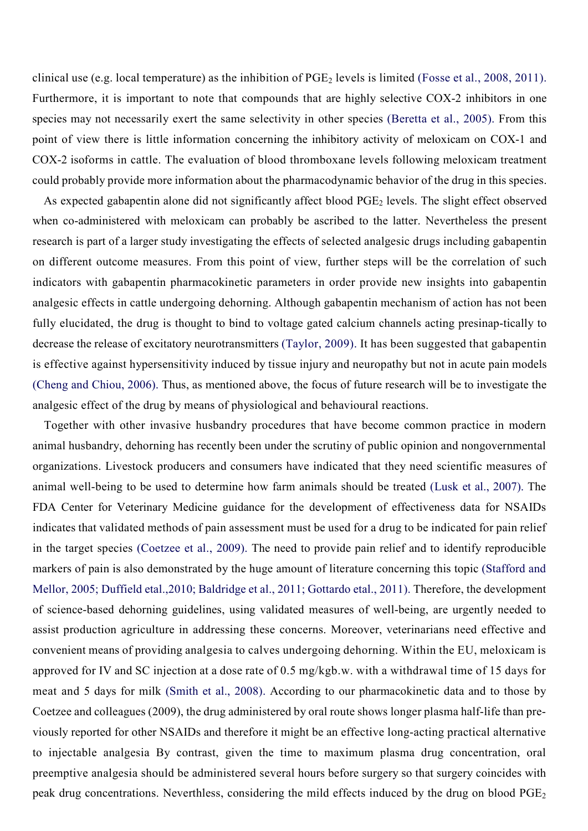clinical use (e.g. local temperature) as the inhibition of  $PGE_2$  levels is limited (Fosse et al., 2008, 2011). Furthermore, it is important to note that compounds that are highly selective COX-2 inhibitors in one species may not necessarily exert the same selectivity in other species (Beretta et al., 2005). From this point of view there is little information concerning the inhibitory activity of meloxicam on COX-1 and COX-2 isoforms in cattle. The evaluation of blood thromboxane levels following meloxicam treatment could probably provide more information about the pharmacodynamic behavior of the drug in this species.

As expected gabapentin alone did not significantly affect blood  $PGE<sub>2</sub>$  levels. The slight effect observed when co-administered with meloxicam can probably be ascribed to the latter. Nevertheless the present research is part of a larger study investigating the effects of selected analgesic drugs including gabapentin on different outcome measures. From this point of view, further steps will be the correlation of such indicators with gabapentin pharmacokinetic parameters in order provide new insights into gabapentin analgesic effects in cattle undergoing dehorning. Although gabapentin mechanism of action has not been fully elucidated, the drug is thought to bind to voltage gated calcium channels acting presinap-tically to decrease the release of excitatory neurotransmitters (Taylor, 2009). It has been suggested that gabapentin is effective against hypersensitivity induced by tissue injury and neuropathy but not in acute pain models (Cheng and Chiou, 2006). Thus, as mentioned above, the focus of future research will be to investigate the analgesic effect of the drug by means of physiological and behavioural reactions.

Together with other invasive husbandry procedures that have become common practice in modern animal husbandry, dehorning has recently been under the scrutiny of public opinion and nongovernmental organizations. Livestock producers and consumers have indicated that they need scientific measures of animal well-being to be used to determine how farm animals should be treated (Lusk et al., 2007). The FDA Center for Veterinary Medicine guidance for the development of effectiveness data for NSAIDs indicates that validated methods of pain assessment must be used for a drug to be indicated for pain relief in the target species (Coetzee et al., 2009). The need to provide pain relief and to identify reproducible markers of pain is also demonstrated by the huge amount of literature concerning this topic (Stafford and Mellor, 2005; Duffield etal.,2010; Baldridge et al., 2011; Gottardo etal., 2011). Therefore, the development of science-based dehorning guidelines, using validated measures of well-being, are urgently needed to assist production agriculture in addressing these concerns. Moreover, veterinarians need effective and convenient means of providing analgesia to calves undergoing dehorning. Within the EU, meloxicam is approved for IV and SC injection at a dose rate of 0.5 mg/kgb.w. with a withdrawal time of 15 days for meat and 5 days for milk (Smith et al., 2008). According to our pharmacokinetic data and to those by Coetzee and colleagues (2009), the drug administered by oral route shows longer plasma half-life than previously reported for other NSAIDs and therefore it might be an effective long-acting practical alternative to injectable analgesia By contrast, given the time to maximum plasma drug concentration, oral preemptive analgesia should be administered several hours before surgery so that surgery coincides with peak drug concentrations. Neverthless, considering the mild effects induced by the drug on blood PGE<sub>2</sub>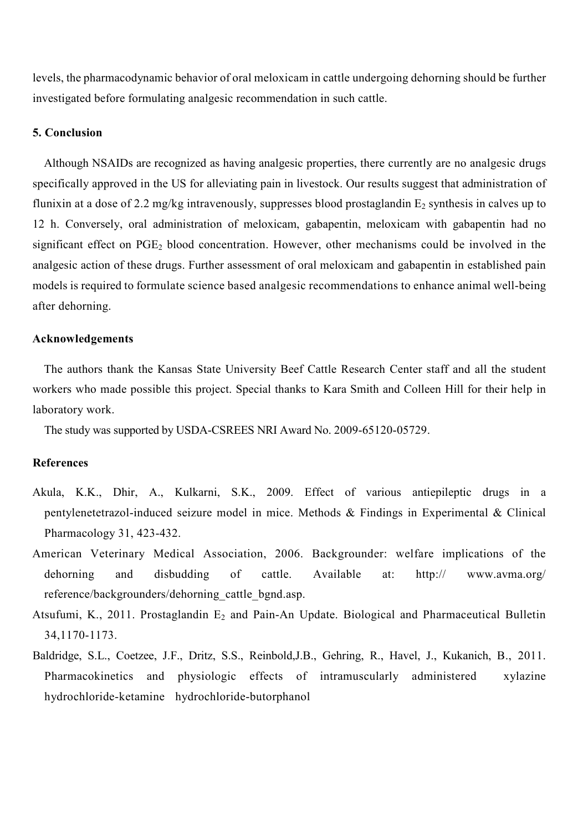levels, the pharmacodynamic behavior of oral meloxicam in cattle undergoing dehorning should be further investigated before formulating analgesic recommendation in such cattle.

## 5. Conclusion

Although NSAIDs are recognized as having analgesic properties, there currently are no analgesic drugs specifically approved in the US for alleviating pain in livestock. Our results suggest that administration of flunixin at a dose of 2.2 mg/kg intravenously, suppresses blood prostaglandin  $E_2$  synthesis in calves up to 12 h. Conversely, oral administration of meloxicam, gabapentin, meloxicam with gabapentin had no significant effect on PGE<sub>2</sub> blood concentration. However, other mechanisms could be involved in the analgesic action of these drugs. Further assessment of oral meloxicam and gabapentin in established pain models is required to formulate science based analgesic recommendations to enhance animal well-being after dehorning.

### Acknowledgements

The authors thank the Kansas State University Beef Cattle Research Center staff and all the student workers who made possible this project. Special thanks to Kara Smith and Colleen Hill for their help in laboratory work.

The study was supported by USDA-CSREES NRI Award No. 2009-65120-05729.

## References

- Akula, K.K., Dhir, A., Kulkarni, S.K., 2009. Effect of various antiepileptic drugs in a pentylenetetrazol-induced seizure model in mice. Methods & Findings in Experimental & Clinical Pharmacology 31, 423-432.
- American Veterinary Medical Association, 2006. Backgrounder: welfare implications of the dehorning and disbudding of cattle. Available at: http:// www.avma.org/ reference/backgrounders/dehorning\_cattle\_bgnd.asp.
- Atsufumi, K., 2011. Prostaglandin  $E_2$  and Pain-An Update. Biological and Pharmaceutical Bulletin 34,1170-1173.
- Baldridge, S.L., Coetzee, J.F., Dritz, S.S., Reinbold,J.B., Gehring, R., Havel, J., Kukanich, B., 2011. Pharmacokinetics and physiologic effects of intramuscularly administered xylazine hydrochloride-ketamine hydrochloride-butorphanol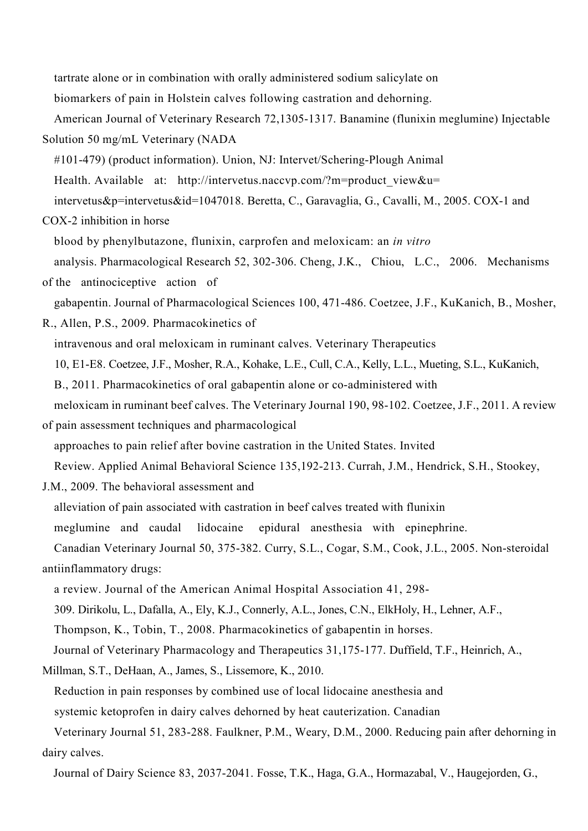tartrate alone or in combination with orally administered sodium salicylate on

biomarkers of pain in Holstein calves following castration and dehorning.

American Journal of Veterinary Research 72,1305-1317. Banamine (flunixin meglumine) Injectable Solution 50 mg/mL Veterinary (NADA

#101-479) (product information). Union, NJ: Intervet/Schering-Plough Animal

Health. Available at: http://intervetus.naccvp.com/?m=product\_view&u=

intervetus&p=intervetus&id=1047018. Beretta, C., Garavaglia, G., Cavalli, M., 2005. COX-1 and

COX-2 inhibition in horse

blood by phenylbutazone, flunixin, carprofen and meloxicam: an *in vitro*

analysis. Pharmacological Research 52, 302-306. Cheng, J.K., Chiou, L.C., 2006. Mechanisms

of the antinociceptive action of gabapentin. Journal of Pharmacological Sciences 100, 471-486. Coetzee, J.F., KuKanich, B., Mosher,

R., Allen, P.S., 2009. Pharmacokinetics of intravenous and oral meloxicam in ruminant calves. Veterinary Therapeutics 10, E1-E8. Coetzee, J.F., Mosher, R.A., Kohake, L.E., Cull, C.A., Kelly, L.L., Mueting, S.L., KuKanich, B., 2011. Pharmacokinetics of oral gabapentin alone or co-administered with meloxicam in ruminant beef calves. The Veterinary Journal 190, 98-102. Coetzee, J.F., 2011. A review

of pain assessment techniques and pharmacological approaches to pain relief after bovine castration in the United States. Invited Review. Applied Animal Behavioral Science 135,192-213. Currah, J.M., Hendrick, S.H., Stookey,

J.M., 2009. The behavioral assessment and

alleviation of pain associated with castration in beef calves treated with flunixin

meglumine and caudal lidocaine epidural anesthesia with epinephrine.

Canadian Veterinary Journal 50, 375-382. Curry, S.L., Cogar, S.M., Cook, J.L., 2005. Non-steroidal antiinflammatory drugs:

a review. Journal of the American Animal Hospital Association 41, 298-

309. Dirikolu, L., Dafalla, A., Ely, K.J., Connerly, A.L., Jones, C.N., ElkHoly, H., Lehner, A.F.,

Thompson, K., Tobin, T., 2008. Pharmacokinetics of gabapentin in horses.

Journal of Veterinary Pharmacology and Therapeutics 31,175-177. Duffield, T.F., Heinrich, A.,

Millman, S.T., DeHaan, A., James, S., Lissemore, K., 2010.

Reduction in pain responses by combined use of local lidocaine anesthesia and

systemic ketoprofen in dairy calves dehorned by heat cauterization. Canadian

Veterinary Journal 51, 283-288. Faulkner, P.M., Weary, D.M., 2000. Reducing pain after dehorning in dairy calves.

Journal of Dairy Science 83, 2037-2041. Fosse, T.K., Haga, G.A., Hormazabal, V., Haugejorden, G.,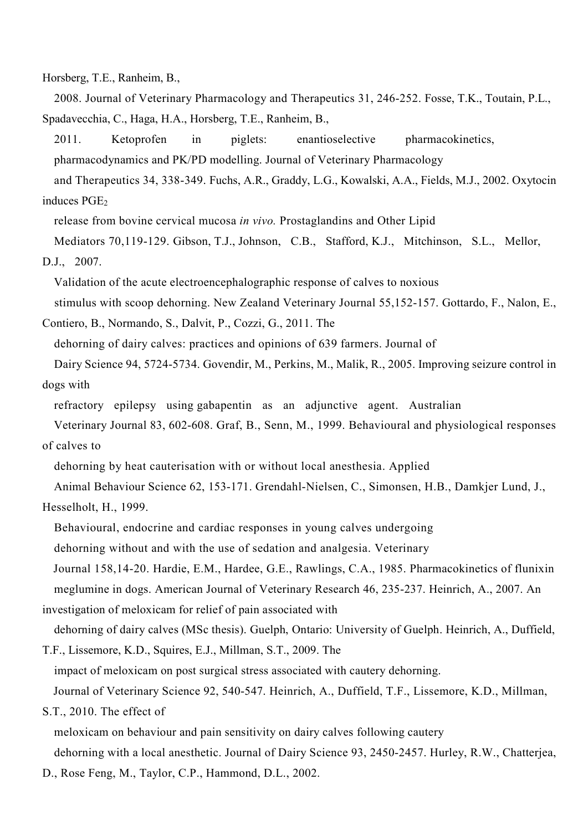Horsberg, T.E., Ranheim, B.,

2008. Journal of Veterinary Pharmacology and Therapeutics 31, 246-252. Fosse, T.K., Toutain, P.L., Spadavecchia, C., Haga, H.A., Horsberg, T.E., Ranheim, B.,

2011. Ketoprofen in piglets: enantioselective pharmacokinetics, pharmacodynamics and PK/PD modelling. Journal of Veterinary Pharmacology and Therapeutics 34, 338-349. Fuchs, A.R., Graddy, L.G., Kowalski, A.A., Fields, M.J., 2002. Oxytocin

induces PGE<sub>2</sub>

release from bovine cervical mucosa *in vivo.* Prostaglandins and Other Lipid

Mediators 70,119-129. Gibson, T.J., Johnson, C.B., Stafford, K.J., Mitchinson, S.L., Mellor, D.J., 2007.

Validation of the acute electroencephalographic response of calves to noxious stimulus with scoop dehorning. New Zealand Veterinary Journal 55,152-157. Gottardo, F., Nalon, E.,

Contiero, B., Normando, S., Dalvit, P., Cozzi, G., 2011. The

dehorning of dairy calves: practices and opinions of 639 farmers. Journal of

Dairy Science 94, 5724-5734. Govendir, M., Perkins, M., Malik, R., 2005. Improving seizure control in dogs with

refractory epilepsy using gabapentin as an adjunctive agent. Australian

Veterinary Journal 83, 602-608. Graf, B., Senn, M., 1999. Behavioural and physiological responses of calves to

dehorning by heat cauterisation with or without local anesthesia. Applied

Animal Behaviour Science 62, 153-171. Grendahl-Nielsen, C., Simonsen, H.B., Damkjer Lund, J.,

Hesselholt, H., 1999.

Behavioural, endocrine and cardiac responses in young calves undergoing

dehorning without and with the use of sedation and analgesia. Veterinary

Journal 158,14-20. Hardie, E.M., Hardee, G.E., Rawlings, C.A., 1985. Pharmacokinetics of flunixin meglumine in dogs. American Journal of Veterinary Research 46, 235-237. Heinrich, A., 2007. An

investigation of meloxicam for relief of pain associated with

dehorning of dairy calves (MSc thesis). Guelph, Ontario: University of Guelph. Heinrich, A., Duffield,

T.F., Lissemore, K.D., Squires, E.J., Millman, S.T., 2009. The impact of meloxicam on post surgical stress associated with cautery dehorning. Journal of Veterinary Science 92, 540-547. Heinrich, A., Duffield, T.F., Lissemore, K.D., Millman,

S.T., 2010. The effect of

meloxicam on behaviour and pain sensitivity on dairy calves following cautery dehorning with a local anesthetic. Journal of Dairy Science 93, 2450-2457. Hurley, R.W., Chatterjea,

D., Rose Feng, M., Taylor, C.P., Hammond, D.L., 2002.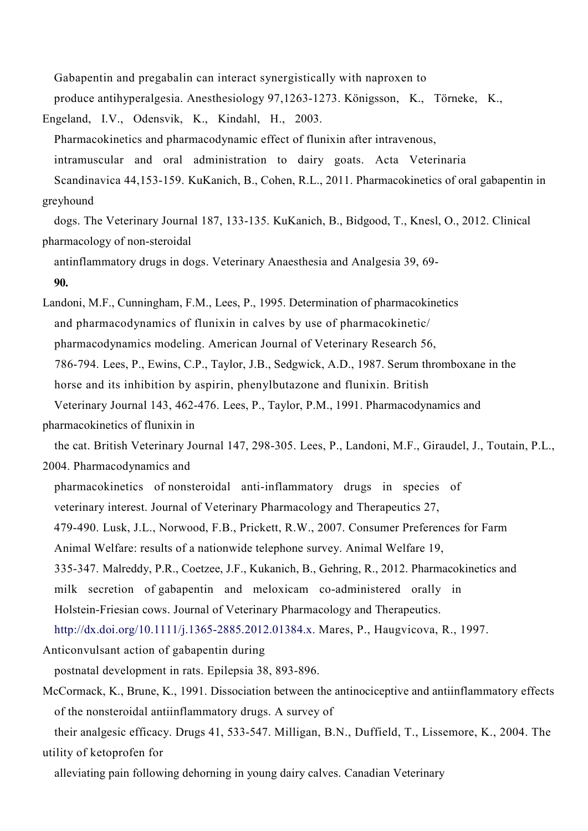Gabapentin and pregabalin can interact synergistically with naproxen to

produce antihyperalgesia. Anesthesiology 97,1263-1273. Königsson, K., Törneke, K.,

Engeland, I.V., Odensvik, K., Kindahl, H., 2003. Pharmacokinetics and pharmacodynamic effect of flunixin after intravenous, intramuscular and oral administration to dairy goats. Acta Veterinaria Scandinavica 44,153-159. KuKanich, B., Cohen, R.L., 2011. Pharmacokinetics of oral gabapentin in greyhound

dogs. The Veterinary Journal 187, 133-135. KuKanich, B., Bidgood, T., Knesl, O., 2012. Clinical pharmacology of non-steroidal

antinflammatory drugs in dogs. Veterinary Anaesthesia and Analgesia 39, 69- 90.

Landoni, M.F., Cunningham, F.M., Lees, P., 1995. Determination of pharmacokinetics and pharmacodynamics of flunixin in calves by use of pharmacokinetic/ pharmacodynamics modeling. American Journal of Veterinary Research 56, 786-794. Lees, P., Ewins, C.P., Taylor, J.B., Sedgwick, A.D., 1987. Serum thromboxane in the horse and its inhibition by aspirin, phenylbutazone and flunixin. British Veterinary Journal 143, 462-476. Lees, P., Taylor, P.M., 1991. Pharmacodynamics and

pharmacokinetics of flunixin in

the cat. British Veterinary Journal 147, 298-305. Lees, P., Landoni, M.F., Giraudel, J., Toutain, P.L., 2004. Pharmacodynamics and

pharmacokinetics of nonsteroidal anti-inflammatory drugs in species of

veterinary interest. Journal of Veterinary Pharmacology and Therapeutics 27,

479-490. Lusk, J.L., Norwood, F.B., Prickett, R.W., 2007. Consumer Preferences for Farm

Animal Welfare: results of a nationwide telephone survey. Animal Welfare 19,

335-347. Malreddy, P.R., Coetzee, J.F., Kukanich, B., Gehring, R., 2012. Pharmacokinetics and milk secretion of gabapentin and meloxicam co-administered orally in Holstein-Friesian cows. Journal of Veterinary Pharmacology and Therapeutics.

http://dx.doi.org/10.1111/j.1365-2885.2012.01384.x. Mares, P., Haugvicova, R., 1997.

Anticonvulsant action of gabapentin during

postnatal development in rats. Epilepsia 38, 893-896.

McCormack, K., Brune, K., 1991. Dissociation between the antinociceptive and antiinflammatory effects of the nonsteroidal antiinflammatory drugs. A survey of

their analgesic efficacy. Drugs 41, 533-547. Milligan, B.N., Duffield, T., Lissemore, K., 2004. The utility of ketoprofen for

alleviating pain following dehorning in young dairy calves. Canadian Veterinary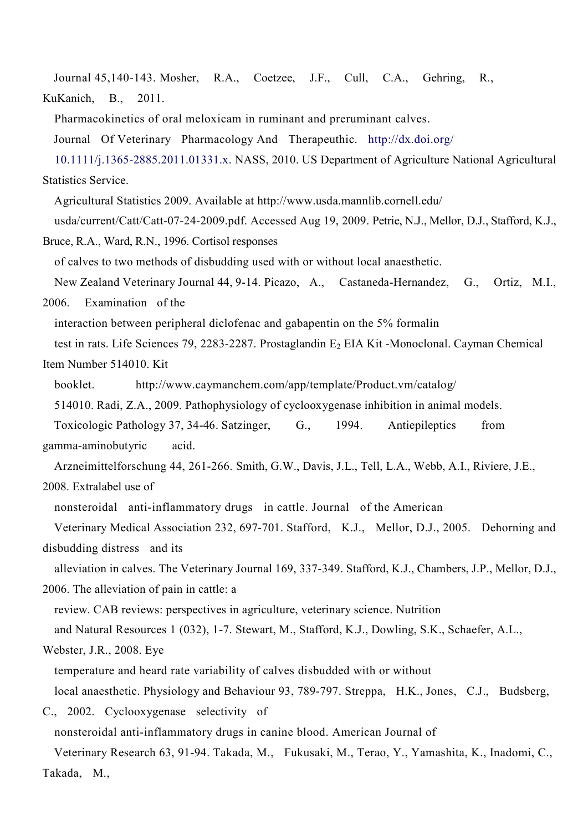Journal 45,140-143. Mosher, R.A., Coetzee, J.F., Cull, C.A., Gehring, R., KuKanich, B., 2011.

Pharmacokinetics of oral meloxicam in ruminant and preruminant calves.

Journal Of Veterinary Pharmacology And Therapeuthic. http://dx.doi.org/

10.1111/j.1365-2885.2011.01331.x. NASS, 2010. US Department of Agriculture National Agricultural Statistics Service.

Agricultural Statistics 2009. Available at http://www.usda.mannlib.cornell.edu/

usda/current/Catt/Catt-07-24-2009.pdf. Accessed Aug 19, 2009. Petrie, N.J., Mellor, D.J., Stafford, K.J.,

Bruce, R.A., Ward, R.N., 1996. Cortisol responses

of calves to two methods of disbudding used with or without local anaesthetic.

New Zealand Veterinary Journal 44, 9-14. Picazo, A., Castaneda-Hernandez, G., Ortiz, M.I., 2006. Examination of the

interaction between peripheral diclofenac and gabapentin on the 5% formalin

test in rats. Life Sciences 79, 2283-2287. Prostaglandin E<sub>2</sub> EIA Kit -Monoclonal. Cayman Chemical Item Number 514010. Kit

booklet. http://www.caymanchem.com/app/template/Product.vm/catalog/

514010. Radi, Z.A., 2009. Pathophysiology of cyclooxygenase inhibition in animal models.

Toxicologic Pathology 37, 34-46. Satzinger, G., 1994. Antiepileptics from gamma-aminobutyric acid.

Arzneimittelforschung 44, 261-266. Smith, G.W., Davis, J.L., Tell, L.A., Webb, A.I., Riviere, J.E.,

2008. Extralabel use of

nonsteroidal anti-inflammatory drugs in cattle. Journal of the American

Veterinary Medical Association 232, 697-701. Stafford, K.J., Mellor, D.J., 2005. Dehorning and disbudding distress and its

alleviation in calves. The Veterinary Journal 169, 337-349. Stafford, K.J., Chambers, J.P., Mellor, D.J., 2006. The alleviation of pain in cattle: a

review. CAB reviews: perspectives in agriculture, veterinary science. Nutrition

and Natural Resources 1 (032), 1-7. Stewart, M., Stafford, K.J., Dowling, S.K., Schaefer, A.L.,

Webster, J.R., 2008. Eye

temperature and heard rate variability of calves disbudded with or without local anaesthetic. Physiology and Behaviour 93, 789-797. Streppa, H.K., Jones, C.J., Budsberg,

C., 2002. Cyclooxygenase selectivity of

nonsteroidal anti-inflammatory drugs in canine blood. American Journal of

Veterinary Research 63, 91-94. Takada, M., Fukusaki, M., Terao, Y., Yamashita, K., Inadomi, C., Takada, M.,